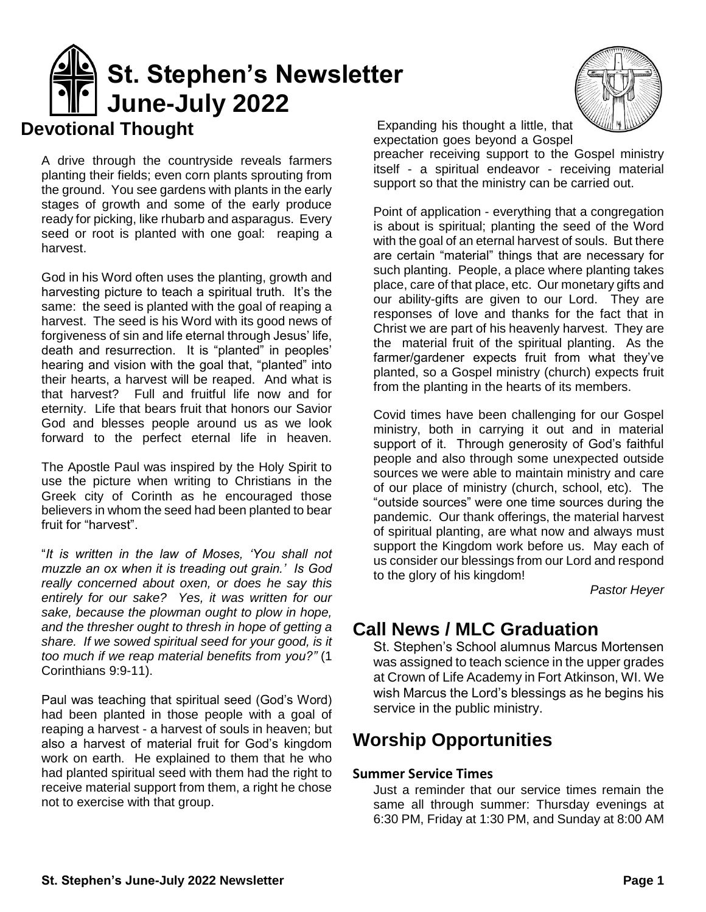

A drive through the countryside reveals farmers planting their fields; even corn plants sprouting from the ground. You see gardens with plants in the early stages of growth and some of the early produce ready for picking, like rhubarb and asparagus. Every seed or root is planted with one goal: reaping a harvest.

God in his Word often uses the planting, growth and harvesting picture to teach a spiritual truth. It's the same: the seed is planted with the goal of reaping a harvest. The seed is his Word with its good news of forgiveness of sin and life eternal through Jesus' life, death and resurrection. It is "planted" in peoples' hearing and vision with the goal that, "planted" into their hearts, a harvest will be reaped. And what is that harvest? Full and fruitful life now and for eternity. Life that bears fruit that honors our Savior God and blesses people around us as we look forward to the perfect eternal life in heaven.

The Apostle Paul was inspired by the Holy Spirit to use the picture when writing to Christians in the Greek city of Corinth as he encouraged those believers in whom the seed had been planted to bear fruit for "harvest".

"*It is written in the law of Moses, 'You shall not muzzle an ox when it is treading out grain.' Is God really concerned about oxen, or does he say this entirely for our sake? Yes, it was written for our sake, because the plowman ought to plow in hope, and the thresher ought to thresh in hope of getting a share. If we sowed spiritual seed for your good, is it too much if we reap material benefits from you?"* (1 Corinthians 9:9-11).

Paul was teaching that spiritual seed (God's Word) had been planted in those people with a goal of reaping a harvest - a harvest of souls in heaven; but also a harvest of material fruit for God's kingdom work on earth. He explained to them that he who had planted spiritual seed with them had the right to receive material support from them, a right he chose not to exercise with that group.



Expanding his thought a little, that expectation goes beyond a Gospel

preacher receiving support to the Gospel ministry itself - a spiritual endeavor - receiving material support so that the ministry can be carried out.

Point of application - everything that a congregation is about is spiritual; planting the seed of the Word with the goal of an eternal harvest of souls. But there are certain "material" things that are necessary for such planting. People, a place where planting takes place, care of that place, etc. Our monetary gifts and our ability-gifts are given to our Lord. They are responses of love and thanks for the fact that in Christ we are part of his heavenly harvest. They are the material fruit of the spiritual planting. As the farmer/gardener expects fruit from what they've planted, so a Gospel ministry (church) expects fruit from the planting in the hearts of its members.

Covid times have been challenging for our Gospel ministry, both in carrying it out and in material support of it. Through generosity of God's faithful people and also through some unexpected outside sources we were able to maintain ministry and care of our place of ministry (church, school, etc). The "outside sources" were one time sources during the pandemic. Our thank offerings, the material harvest of spiritual planting, are what now and always must support the Kingdom work before us. May each of us consider our blessings from our Lord and respond to the glory of his kingdom!

*Pastor Heyer*

# **Call News / MLC Graduation**

St. Stephen's School alumnus Marcus Mortensen was assigned to teach science in the upper grades at Crown of Life Academy in Fort Atkinson, WI. We wish Marcus the Lord's blessings as he begins his service in the public ministry.

## **Worship Opportunities**

### **Summer Service Times**

Just a reminder that our service times remain the same all through summer: Thursday evenings at 6:30 PM, Friday at 1:30 PM, and Sunday at 8:00 AM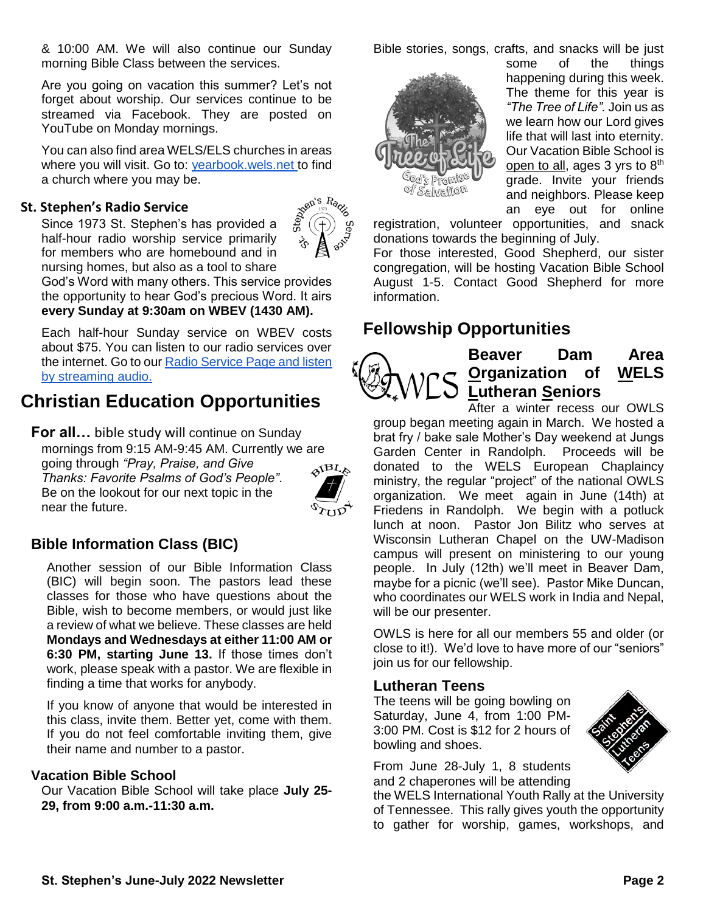& 10:00 AM. We will also continue our Sunday morning Bible Class between the services.

Are you going on vacation this summer? Let's not forget about worship. Our services continue to be streamed via Facebook. They are posted on YouTube on Monday mornings.

You can also find area WELS/ELS churches in areas where you will visit. Go to: [yearbook.wels.net t](http://yearbook.wels.net/)o find a church where you may be.

### **St. Stephen's Radio Service**

Since 1973 St. Stephen's has provided a half-hour radio worship service primarily for members who are homebound and in nursing homes, but also as a tool to share



God's Word with many others. This service provides the opportunity to hear God's precious Word. It airs **every Sunday at 9:30am on WBEV (1430 AM).**

Each half-hour Sunday service on WBEV costs about \$75. You can listen to our radio services over the internet. Go to our [Radio Service Page and listen](https://www.ssbdwels.com/st-stephens-radio-service/)  [by streaming audio.](https://www.ssbdwels.com/st-stephens-radio-service/)

# **Christian Education Opportunities**

**For all…** bible study will continue on Sunday mornings from 9:15 AM-9:45 AM. Currently we are going through *"Pray, Praise, and Give Thanks: Favorite Psalms of God's People"*. Be on the lookout for our next topic in the near the future.



### **Bible Information Class (BIC)**

Another session of our Bible Information Class (BIC) will begin soon. The pastors lead these classes for those who have questions about the Bible, wish to become members, or would just like a review of what we believe. These classes are held **Mondays and Wednesdays at either 11:00 AM or 6:30 PM, starting June 13.** If those times don't work, please speak with a pastor. We are flexible in finding a time that works for anybody.

If you know of anyone that would be interested in this class, invite them. Better yet, come with them. If you do not feel comfortable inviting them, give their name and number to a pastor.

#### **Vacation Bible School**

Our Vacation Bible School will take place **July 25- 29, from 9:00 a.m.-11:30 a.m.**

Bible stories, songs, crafts, and snacks will be just



some of the things happening during this week. The theme for this year is *"The Tree of Life".* Join us as we learn how our Lord gives life that will last into eternity. Our Vacation Bible School is open to all, ages  $3$  yrs to  $8<sup>th</sup>$ grade. Invite your friends and neighbors. Please keep an eye out for online

registration, volunteer opportunities, and snack donations towards the beginning of July.

For those interested, Good Shepherd, our sister congregation, will be hosting Vacation Bible School August 1-5. Contact Good Shepherd for more information.

## **Fellowship Opportunities**



**Beaver Dam Area Organization of WELS Lutheran Seniors**

After a winter recess our OWLS group began meeting again in March. We hosted a brat fry / bake sale Mother's Day weekend at Jungs Garden Center in Randolph. Proceeds will be donated to the WELS European Chaplaincy ministry, the regular "project" of the national OWLS organization. We meet again in June (14th) at Friedens in Randolph. We begin with a potluck lunch at noon. Pastor Jon Bilitz who serves at Wisconsin Lutheran Chapel on the UW-Madison campus will present on ministering to our young people. In July (12th) we'll meet in Beaver Dam, maybe for a picnic (we'll see). Pastor Mike Duncan, who coordinates our WELS work in India and Nepal, will be our presenter.

OWLS is here for all our members 55 and older (or close to it!). We'd love to have more of our "seniors" ioin us for our fellowship.

#### **Lutheran Teens**

The teens will be going bowling on Saturday, June 4, from 1:00 PM-3:00 PM. Cost is \$12 for 2 hours of bowling and shoes.



From June 28-July 1, 8 students and 2 chaperones will be attending

the WELS International Youth Rally at the University of Tennessee. This rally gives youth the opportunity to gather for worship, games, workshops, and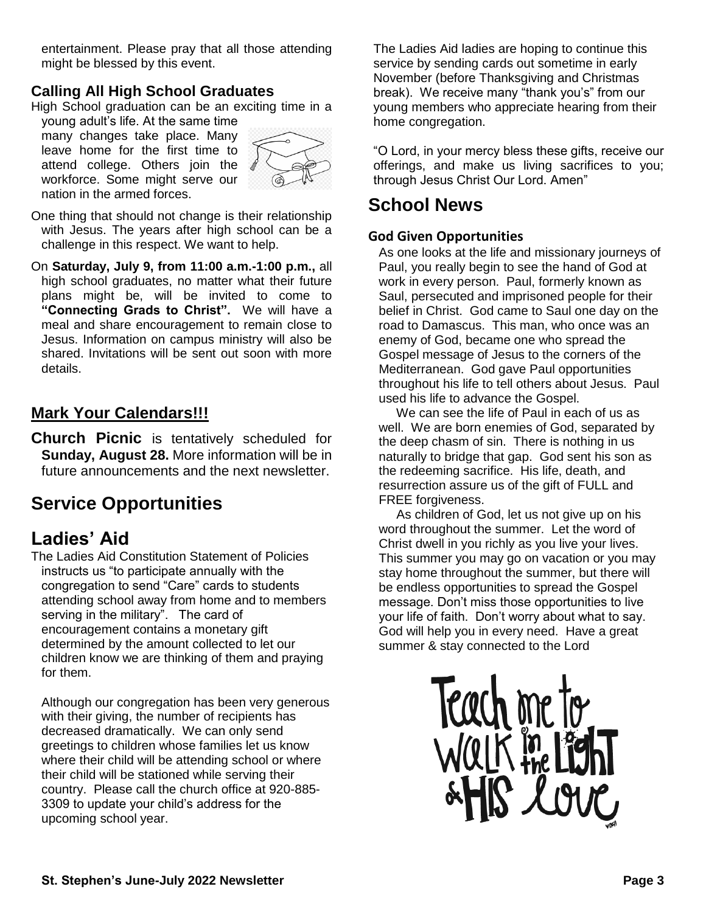entertainment. Please pray that all those attending might be blessed by this event.

### **Calling All High School Graduates**

High School graduation can be an exciting time in a

young adult's life. At the same time many changes take place. Many leave home for the first time to attend college. Others join the workforce. Some might serve our nation in the armed forces.



One thing that should not change is their relationship with Jesus. The years after high school can be a challenge in this respect. We want to help.

On **Saturday, July 9, from 11:00 a.m.-1:00 p.m.,** all high school graduates, no matter what their future plans might be, will be invited to come to **"Connecting Grads to Christ".** We will have a meal and share encouragement to remain close to Jesus. Information on campus ministry will also be shared. Invitations will be sent out soon with more details.

### **Mark Your Calendars!!!**

**Church Picnic** is tentatively scheduled for **Sunday, August 28.** More information will be in future announcements and the next newsletter.

# **Service Opportunities**

# **Ladies' Aid**

The Ladies Aid Constitution Statement of Policies instructs us "to participate annually with the congregation to send "Care" cards to students attending school away from home and to members serving in the military". The card of encouragement contains a monetary gift determined by the amount collected to let our children know we are thinking of them and praying for them.

Although our congregation has been very generous with their giving, the number of recipients has decreased dramatically. We can only send greetings to children whose families let us know where their child will be attending school or where their child will be stationed while serving their country. Please call the church office at 920-885- 3309 to update your child's address for the upcoming school year.

The Ladies Aid ladies are hoping to continue this service by sending cards out sometime in early November (before Thanksgiving and Christmas break). We receive many "thank you's" from our young members who appreciate hearing from their home congregation.

"O Lord, in your mercy bless these gifts, receive our offerings, and make us living sacrifices to you; through Jesus Christ Our Lord. Amen"

## **School News**

### **God Given Opportunities**

As one looks at the life and missionary journeys of Paul, you really begin to see the hand of God at work in every person. Paul, formerly known as Saul, persecuted and imprisoned people for their belief in Christ. God came to Saul one day on the road to Damascus. This man, who once was an enemy of God, became one who spread the Gospel message of Jesus to the corners of the Mediterranean. God gave Paul opportunities throughout his life to tell others about Jesus. Paul used his life to advance the Gospel.

 We can see the life of Paul in each of us as well. We are born enemies of God, separated by the deep chasm of sin. There is nothing in us naturally to bridge that gap. God sent his son as the redeeming sacrifice. His life, death, and resurrection assure us of the gift of FULL and FREE forgiveness.

 As children of God, let us not give up on his word throughout the summer. Let the word of Christ dwell in you richly as you live your lives. This summer you may go on vacation or you may stay home throughout the summer, but there will be endless opportunities to spread the Gospel message. Don't miss those opportunities to live your life of faith. Don't worry about what to say. God will help you in every need. Have a great summer & stay connected to the Lord